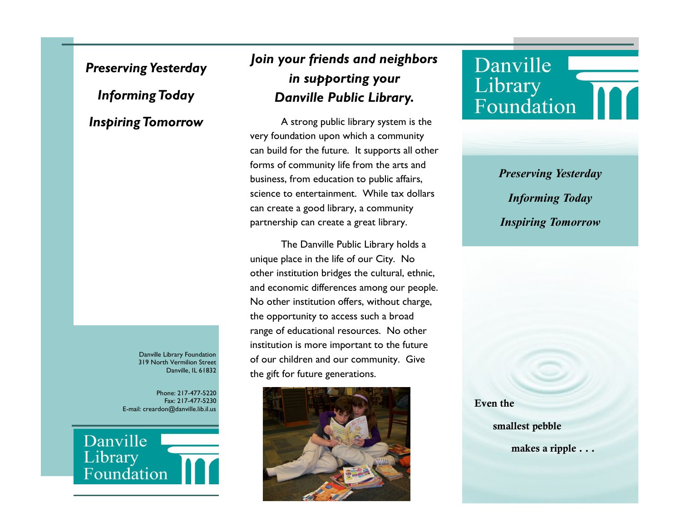### *Preserving Yesterday*

## *Informing Today*

### *Inspiring Tomorrow*

Danville Library Foundation 319 North Vermilion Street Danville, IL 61832

Phone: 217-477-5220 Fax: 217-477-5230 E-mail: creardon@danville.lib.il.us



# *Join your friends and neighbors in supporting your Danville Public Library.*

A strong public library system is the very foundation upon which a community can build for the future. It supports all other forms of community life from the arts and business, from education to public affairs, science to entertainment. While tax dollars can create a good library, a community partnership can create a great library.

The Danville Public Library holds a unique place in the life of our City. No other institution bridges the cultural, ethnic, and economic differences among our people. No other institution offers, without charge, the opportunity to access such a broad range of educational resources. No other institution is more important to the future of our children and our community. Give the gift for future generations.



# Danville Library Foundation

*Preserving Yesterday Informing Today Inspiring Tomorrow*

**Even the**

 **smallest pebble**

 **makes a ripple . . .**